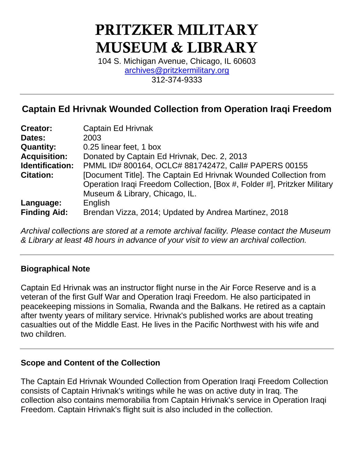# **PRITZKER MILITARY MUSEUM & LIBRARY**

104 S. Michigan Avenue, Chicago, IL 60603 [archives@pritzkermilitary.org](mailto:archives@pritzkermilitary.org) 312-374-9333

## **Captain Ed Hrivnak Wounded Collection from Operation Iraqi Freedom**

| <b>Creator:</b>                  | <b>Captain Ed Hrivnak</b>                                                                                                                                                      |  |  |
|----------------------------------|--------------------------------------------------------------------------------------------------------------------------------------------------------------------------------|--|--|
| Dates:                           | 2003                                                                                                                                                                           |  |  |
| <b>Quantity:</b>                 | 0.25 linear feet, 1 box                                                                                                                                                        |  |  |
| <b>Acquisition:</b>              | Donated by Captain Ed Hrivnak, Dec. 2, 2013                                                                                                                                    |  |  |
| Identification:                  | PMML ID# 800164, OCLC# 881742472, Call# PAPERS 00155                                                                                                                           |  |  |
| <b>Citation:</b>                 | [Document Title]. The Captain Ed Hrivnak Wounded Collection from<br>Operation Iraqi Freedom Collection, [Box #, Folder #], Pritzker Military<br>Museum & Library, Chicago, IL. |  |  |
| Language:<br><b>Finding Aid:</b> | English<br>Brendan Vizza, 2014; Updated by Andrea Martinez, 2018                                                                                                               |  |  |

*Archival collections are stored at a remote archival facility. Please contact the Museum & Library at least 48 hours in advance of your visit to view an archival collection.*

## **Biographical Note**

Captain Ed Hrivnak was an instructor flight nurse in the Air Force Reserve and is a veteran of the first Gulf War and Operation Iraqi Freedom. He also participated in peacekeeping missions in Somalia, Rwanda and the Balkans. He retired as a captain after twenty years of military service. Hrivnak's published works are about treating casualties out of the Middle East. He lives in the Pacific Northwest with his wife and two children.

#### **Scope and Content of the Collection**

The Captain Ed Hrivnak Wounded Collection from Operation Iraqi Freedom Collection consists of Captain Hrivnak's writings while he was on active duty in Iraq. The collection also contains memorabilia from Captain Hrivnak's service in Operation Iraqi Freedom. Captain Hrivnak's flight suit is also included in the collection.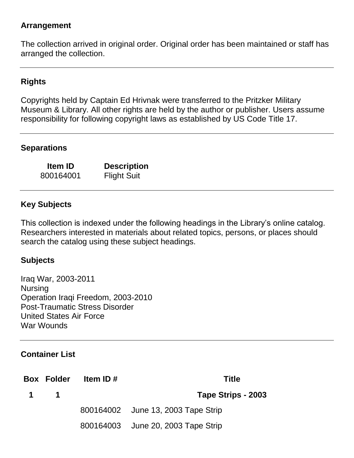### **Arrangement**

The collection arrived in original order. Original order has been maintained or staff has arranged the collection.

## **Rights**

Copyrights held by Captain Ed Hrivnak were transferred to the Pritzker Military Museum & Library. All other rights are held by the author or publisher. Users assume responsibility for following copyright laws as established by US Code Title 17.

## **Separations**

800164001 Flight Suit

**Item ID Description**

## **Key Subjects**

This collection is indexed under the following headings in the Library's online catalog. Researchers interested in materials about related topics, persons, or places should search the catalog using these subject headings.

#### **Subjects**

Iraq War, 2003-2011 Nursing Operation Iraqi Freedom, 2003-2010 Post-Traumatic Stress Disorder United States Air Force War Wounds

#### **Container List**

**Box Folder Item ID # Title 1 Tape Strips - 2003** June 13, 2003 Tape Strip June 20, 2003 Tape Strip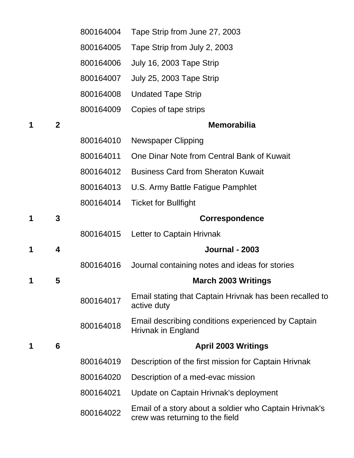|   |                         | 800164004 | Tape Strip from June 27, 2003                                                             |
|---|-------------------------|-----------|-------------------------------------------------------------------------------------------|
|   |                         | 800164005 | Tape Strip from July 2, 2003                                                              |
|   |                         | 800164006 | July 16, 2003 Tape Strip                                                                  |
|   |                         | 800164007 | July 25, 2003 Tape Strip                                                                  |
|   |                         | 800164008 | <b>Undated Tape Strip</b>                                                                 |
|   |                         | 800164009 | Copies of tape strips                                                                     |
| 1 | $\overline{2}$          |           | <b>Memorabilia</b>                                                                        |
|   |                         | 800164010 | <b>Newspaper Clipping</b>                                                                 |
|   |                         | 800164011 | One Dinar Note from Central Bank of Kuwait                                                |
|   |                         | 800164012 | <b>Business Card from Sheraton Kuwait</b>                                                 |
|   |                         | 800164013 | U.S. Army Battle Fatigue Pamphlet                                                         |
|   |                         | 800164014 | <b>Ticket for Bullfight</b>                                                               |
| 1 | 3                       |           | <b>Correspondence</b>                                                                     |
|   |                         |           | 800164015 Letter to Captain Hrivnak                                                       |
| 1 | $\overline{\mathbf{4}}$ |           | <b>Journal - 2003</b>                                                                     |
|   |                         | 800164016 | Journal containing notes and ideas for stories                                            |
| 1 | 5                       |           | <b>March 2003 Writings</b>                                                                |
|   |                         | 800164017 | Email stating that Captain Hrivnak has been recalled to<br>active duty                    |
|   |                         | 800164018 | Email describing conditions experienced by Captain<br>Hrivnak in England                  |
| 1 | 6                       |           | <b>April 2003 Writings</b>                                                                |
|   |                         | 800164019 | Description of the first mission for Captain Hrivnak                                      |
|   |                         | 800164020 | Description of a med-evac mission                                                         |
|   |                         | 800164021 | Update on Captain Hrivnak's deployment                                                    |
|   |                         | 800164022 | Email of a story about a soldier who Captain Hrivnak's<br>crew was returning to the field |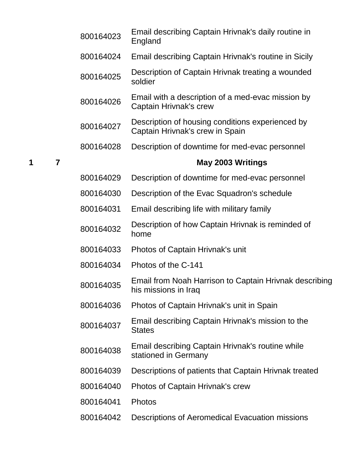|                     | 800164023 | Email describing Captain Hrivnak's daily routine in<br>England                      |
|---------------------|-----------|-------------------------------------------------------------------------------------|
|                     | 800164024 | Email describing Captain Hrivnak's routine in Sicily                                |
|                     | 800164025 | Description of Captain Hrivnak treating a wounded<br>soldier                        |
|                     | 800164026 | Email with a description of a med-evac mission by<br>Captain Hrivnak's crew         |
|                     | 800164027 | Description of housing conditions experienced by<br>Captain Hrivnak's crew in Spain |
|                     | 800164028 | Description of downtime for med-evac personnel                                      |
| $\overline{7}$<br>1 |           | May 2003 Writings                                                                   |
|                     | 800164029 | Description of downtime for med-evac personnel                                      |
|                     | 800164030 | Description of the Evac Squadron's schedule                                         |
|                     | 800164031 | Email describing life with military family                                          |
|                     | 800164032 | Description of how Captain Hrivnak is reminded of<br>home                           |
|                     | 800164033 | Photos of Captain Hrivnak's unit                                                    |
|                     | 800164034 | Photos of the C-141                                                                 |
|                     | 800164035 | Email from Noah Harrison to Captain Hrivnak describing<br>his missions in Iraq      |
|                     | 800164036 | Photos of Captain Hrivnak's unit in Spain                                           |
|                     | 800164037 | Email describing Captain Hrivnak's mission to the<br><b>States</b>                  |
|                     | 800164038 | Email describing Captain Hrivnak's routine while<br>stationed in Germany            |
|                     | 800164039 | Descriptions of patients that Captain Hrivnak treated                               |
|                     | 800164040 | Photos of Captain Hrivnak's crew                                                    |
|                     | 800164041 | Photos                                                                              |
|                     | 800164042 | Descriptions of Aeromedical Evacuation missions                                     |